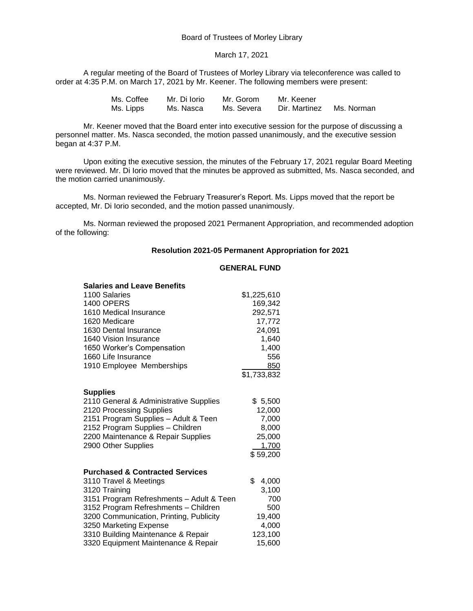Board of Trustees of Morley Library

#### March 17, 2021

A regular meeting of the Board of Trustees of Morley Library via teleconference was called to order at 4:35 P.M. on March 17, 2021 by Mr. Keener. The following members were present:

> Ms. Coffee Mr. Di Iorio Mr. Gorom Mr. Keener<br>Ms. Lipps Ms. Nasca Ms. Severa Dir. Martinez Ms. Lipps Ms. Nasca Ms. Severa Dir. Martinez Ms. Norman

Mr. Keener moved that the Board enter into executive session for the purpose of discussing a personnel matter. Ms. Nasca seconded, the motion passed unanimously, and the executive session began at 4:37 P.M.

Upon exiting the executive session, the minutes of the February 17, 2021 regular Board Meeting were reviewed. Mr. Di Iorio moved that the minutes be approved as submitted, Ms. Nasca seconded, and the motion carried unanimously.

Ms. Norman reviewed the February Treasurer's Report. Ms. Lipps moved that the report be accepted, Mr. Di Iorio seconded, and the motion passed unanimously.

Ms. Norman reviewed the proposed 2021 Permanent Appropriation, and recommended adoption of the following:

### **Resolution 2021-05 Permanent Appropriation for 2021**

### **GENERAL FUND**

| <b>Salaries and Leave Benefits</b>         |             |
|--------------------------------------------|-------------|
| 1100 Salaries                              | \$1,225,610 |
| <b>1400 OPERS</b>                          | 169,342     |
| 1610 Medical Insurance                     | 292,571     |
| 1620 Medicare                              | 17,772      |
| 1630 Dental Insurance                      | 24,091      |
| 1640 Vision Insurance                      | 1,640       |
| 1650 Worker's Compensation                 | 1,400       |
| 1660 Life Insurance                        | 556         |
| 1910 Employee Memberships                  | 850         |
|                                            | \$1,733,832 |
|                                            |             |
| <b>Supplies</b>                            |             |
| 2110 General & Administrative Supplies     | \$5,500     |
| 2120 Processing Supplies                   | 12,000      |
| 2151 Program Supplies - Adult & Teen       | 7,000       |
| 2152 Program Supplies - Children           | 8,000       |
| 2200 Maintenance & Repair Supplies         | 25,000      |
| 2900 Other Supplies                        | 1,700       |
|                                            | \$59,200    |
|                                            |             |
| <b>Purchased &amp; Contracted Services</b> |             |
| 3110 Travel & Meetings                     | \$<br>4,000 |
| 3120 Training                              | 3,100       |
| 3151 Program Refreshments - Adult & Teen   | 700         |
| 3152 Program Refreshments - Children       | 500         |
| 3200 Communication, Printing, Publicity    | 19,400      |
| 3250 Marketing Expense                     | 4,000       |
| 3310 Building Maintenance & Repair         | 123,100     |
| 3320 Equipment Maintenance & Repair        | 15,600      |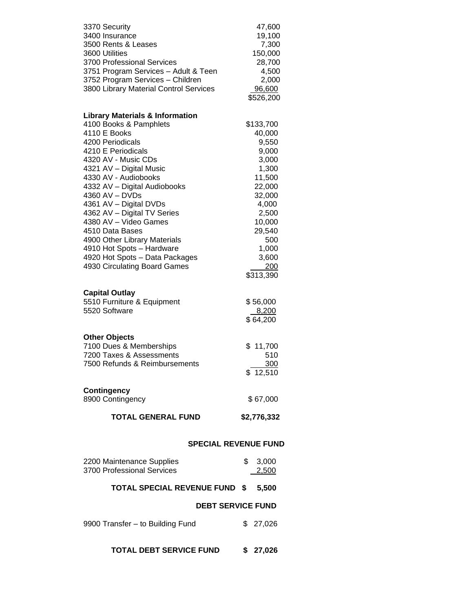| 3370 Security<br>3400 Insurance<br>3500 Rents & Leases<br>3600 Utilities<br>3700 Professional Services<br>3751 Program Services - Adult & Teen | 47,600<br>19,100<br>7,300<br>150,000<br>28,700<br>4,500 |  |  |
|------------------------------------------------------------------------------------------------------------------------------------------------|---------------------------------------------------------|--|--|
| 3752 Program Services - Children<br>3800 Library Material Control Services                                                                     | 2,000<br>96,600<br>\$526,200                            |  |  |
| <b>Library Materials &amp; Information</b>                                                                                                     |                                                         |  |  |
| 4100 Books & Pamphlets<br>4110 E Books                                                                                                         | \$133,700<br>40,000                                     |  |  |
| 4200 Periodicals                                                                                                                               | 9,550                                                   |  |  |
| 4210 E Periodicals                                                                                                                             | 9,000                                                   |  |  |
| 4320 AV - Music CDs                                                                                                                            | 3,000                                                   |  |  |
| 4321 AV - Digital Music                                                                                                                        | 1,300                                                   |  |  |
| 4330 AV - Audiobooks                                                                                                                           | 11,500                                                  |  |  |
| 4332 AV - Digital Audiobooks                                                                                                                   | 22,000                                                  |  |  |
|                                                                                                                                                | 32,000<br>4,000                                         |  |  |
| 4360 AV – DVDs<br>4361 AV – Digital DVDs<br>4362 AV – Digital TV Series                                                                        | 2,500                                                   |  |  |
| 4380 AV - Video Games                                                                                                                          | 10,000                                                  |  |  |
| 4510 Data Bases                                                                                                                                | 29,540                                                  |  |  |
| 4900 Other Library Materials                                                                                                                   | 500                                                     |  |  |
| 4910 Hot Spots - Hardware                                                                                                                      | 1,000                                                   |  |  |
| 4920 Hot Spots - Data Packages                                                                                                                 | 3,600                                                   |  |  |
| 4930 Circulating Board Games                                                                                                                   | 200<br>\$313,390                                        |  |  |
|                                                                                                                                                |                                                         |  |  |
| <b>Capital Outlay</b>                                                                                                                          |                                                         |  |  |
| 5510 Furniture & Equipment                                                                                                                     | \$56,000                                                |  |  |
| 5520 Software                                                                                                                                  | 8,200                                                   |  |  |
|                                                                                                                                                | \$64,200                                                |  |  |
| <b>Other Objects</b>                                                                                                                           |                                                         |  |  |
| 7100 Dues & Memberships                                                                                                                        | \$11,700                                                |  |  |
| 7200 Taxes & Assessments                                                                                                                       | 510                                                     |  |  |
| 7500 Refunds & Reimbursements                                                                                                                  | 300                                                     |  |  |
|                                                                                                                                                | \$12,510                                                |  |  |
| <b>Contingency</b>                                                                                                                             |                                                         |  |  |
| 8900 Contingency                                                                                                                               | \$67,000                                                |  |  |
| <b>TOTAL GENERAL FUND</b>                                                                                                                      | \$2,776,332                                             |  |  |
| <b>SPECIAL REVENUE FUND</b>                                                                                                                    |                                                         |  |  |
| 2200 Maintenance Supplies                                                                                                                      | \$<br>3,000                                             |  |  |
| 3700 Professional Services                                                                                                                     | 2,500                                                   |  |  |
| <b>TOTAL SPECIAL REVENUE FUND \$</b>                                                                                                           | 5,500                                                   |  |  |
|                                                                                                                                                | <b>DEBT SERVICE FUND</b>                                |  |  |
|                                                                                                                                                |                                                         |  |  |
| 9900 Transfer - to Building Fund                                                                                                               | \$27,026                                                |  |  |
|                                                                                                                                                |                                                         |  |  |
| <b>TOTAL DEBT SERVICE FUND</b>                                                                                                                 | \$<br>27,026                                            |  |  |